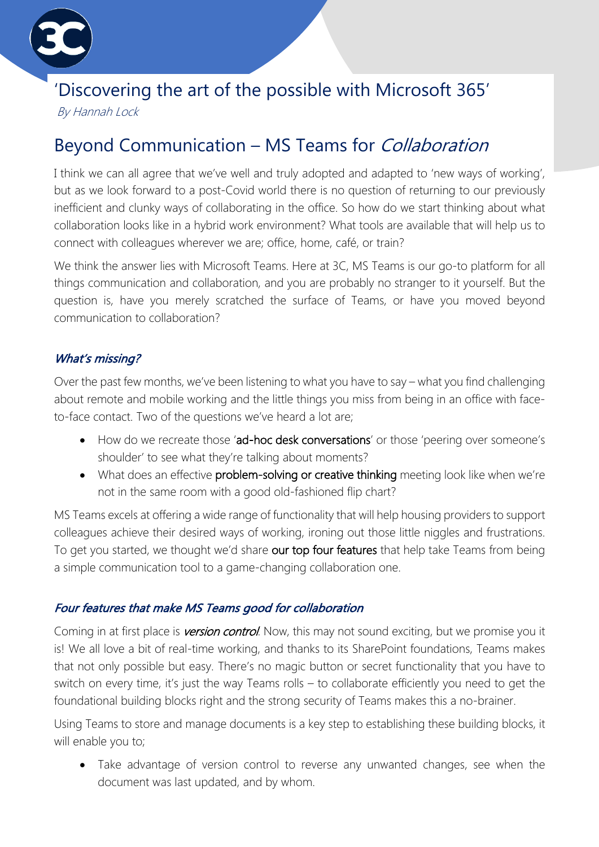

# 'Discovering the art of the possible with Microsoft 365'

By Hannah Lock

## Beyond Communication – MS Teams for Collaboration

I think we can all agree that we've well and truly adopted and adapted to 'new ways of working', but as we look forward to a post-Covid world there is no question of returning to our previously inefficient and clunky ways of collaborating in the office. So how do we start thinking about what collaboration looks like in a hybrid work environment? What tools are available that will help us to connect with colleagues wherever we are; office, home, café, or train?

We think the answer lies with Microsoft Teams. Here at 3C, MS Teams is our go-to platform for all things communication and collaboration, and you are probably no stranger to it yourself. But the question is, have you merely scratched the surface of Teams, or have you moved beyond communication to collaboration?

## What's missing?

Over the past few months, we've been listening to what you have to say – what you find challenging about remote and mobile working and the little things you miss from being in an office with faceto-face contact. Two of the questions we've heard a lot are;

- How do we recreate those 'ad-hoc desk conversations' or those 'peering over someone's shoulder' to see what they're talking about moments?
- What does an effective problem-solving or creative thinking meeting look like when we're not in the same room with a good old-fashioned flip chart?

MS Teams excels at offering a wide range of functionality that will help housing providers to support colleagues achieve their desired ways of working, ironing out those little niggles and frustrations. To get you started, we thought we'd share our top four features that help take Teams from being a simple communication tool to a game-changing collaboration one.

## Four features that make MS Teams good for collaboration

Coming in at first place is **version control**. Now, this may not sound exciting, but we promise you it is! We all love a bit of real-time working, and thanks to its SharePoint foundations, Teams makes that not only possible but easy. There's no magic button or secret functionality that you have to switch on every time, it's just the way Teams rolls – to collaborate efficiently you need to get the foundational building blocks right and the strong security of Teams makes this a no-brainer.

Using Teams to store and manage documents is a key step to establishing these building blocks, it will enable you to;

• Take advantage of version control to reverse any unwanted changes, see when the document was last updated, and by whom.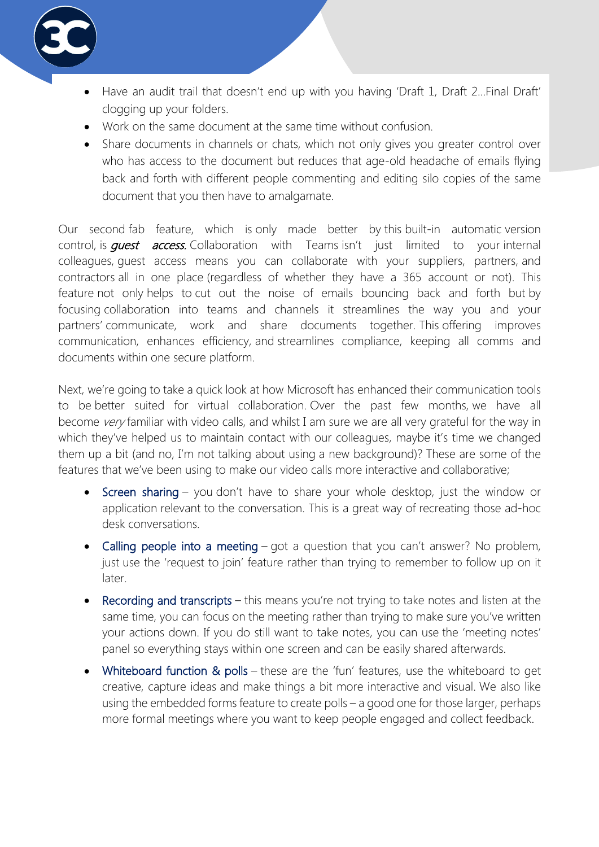

- Have an audit trail that doesn't end up with you having 'Draft 1, Draft 2... Final Draft' clogging up your folders.
- Work on the same document at the same time without confusion.
- Share documents in channels or chats, which not only gives you greater control over who has access to the document but reduces that age-old headache of emails flying back and forth with different people commenting and editing silo copies of the same document that you then have to amalgamate.

Our second fab feature, which is only made better by this built-in automatic version control, is *quest access*. Collaboration with Teams isn't just limited to your internal colleagues, guest access means you can collaborate with your suppliers, partners, and contractors all in one place (regardless of whether they have a 365 account or not). This feature not only helps to cut out the noise of emails bouncing back and forth but by focusing collaboration into teams and channels it streamlines the way you and your partners' communicate, work and share documents together. This offering improves communication, enhances efficiency, and streamlines compliance, keeping all comms and documents within one secure platform.

Next, we're going to take a quick look at how Microsoft has enhanced their communication tools to be better suited for virtual collaboration. Over the past few months, we have all become very familiar with video calls, and whilst I am sure we are all very grateful for the way in which they've helped us to maintain contact with our colleagues, maybe it's time we changed them up a bit (and no, I'm not talking about using a new background)? These are some of the features that we've been using to make our video calls more interactive and collaborative;

- Screen sharing you don't have to share your whole desktop, just the window or application relevant to the conversation. This is a great way of recreating those ad-hoc desk conversations.
- Calling people into a meeting got a question that you can't answer? No problem, just use the 'request to join' feature rather than trying to remember to follow up on it later.
- Recording and transcripts this means you're not trying to take notes and listen at the same time, you can focus on the meeting rather than trying to make sure you've written your actions down. If you do still want to take notes, you can use the 'meeting notes' panel so everything stays within one screen and can be easily shared afterwards.
- Whiteboard function & polls these are the 'fun' features, use the whiteboard to get creative, capture ideas and make things a bit more interactive and visual. We also like using the embedded forms feature to create polls – a good one for those larger, perhaps more formal meetings where you want to keep people engaged and collect feedback.